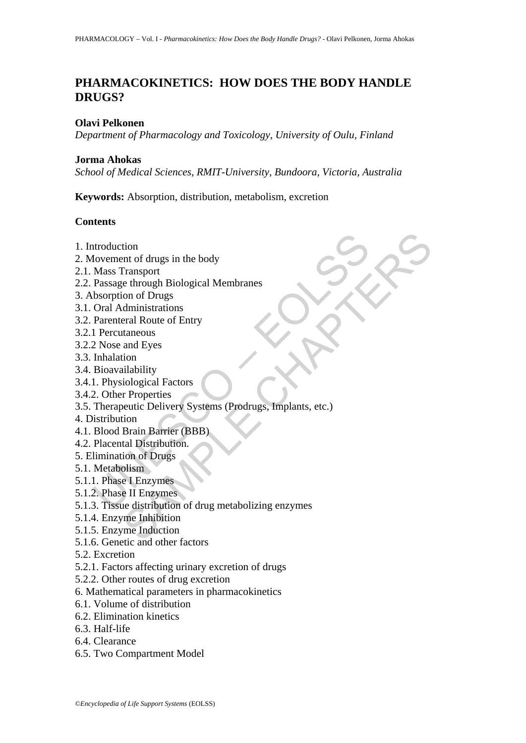# **PHARMACOKINETICS: HOW DOES THE BODY HANDLE DRUGS?**

#### **Olavi Pelkonen**

*Department of Pharmacology and Toxicology, University of Oulu, Finland* 

#### **Jorma Ahokas**

*School of Medical Sciences, RMIT-University, Bundoora, Victoria, Australia* 

**Keywords:** Absorption, distribution, metabolism, excretion

#### **Contents**

- 1. Introduction
- 2. Movement of drugs in the body
- 2.1. Mass Transport
- 2.2. Passage through Biological Membranes
- 3. Absorption of Drugs
- 3.1. Oral Administrations
- 3.2. Parenteral Route of Entry
- 3.2.1 Percutaneous
- 3.2.2 Nose and Eyes
- 3.3. Inhalation
- 3.4. Bioavailability
- 3.4.1. Physiological Factors
- 3.4.2. Other Properties
- ntroduction<br>
Mass Transport<br>
Mass Transport<br>
Passage through Biological Membranes<br>
bsorption of Drugs<br>
Oral Administrations<br>
Thercutaneous<br>
2 Nose and Eyes<br>
Inhalation<br>
Bioavailability<br>
1. Physiological Factors<br>
2. Other P tion<br>
tion<br>
the drugs in the body<br>
Transport<br>
e through Biological Membranes<br>
dministrations<br>
dministrations<br>
eral Route of Entry<br>
taneous<br>
and Eyes<br>
and Eyes<br>
ion<br>
ilability<br>
tion<br>
between Systems (Prodrugs, Implants, etc 3.5. Therapeutic Delivery Systems (Prodrugs, Implants, etc.)
- 4. Distribution
- 4.1. Blood Brain Barrier (BBB)
- 4.2. Placental Distribution.
- 5. Elimination of Drugs
- 5.1. Metabolism
- 5.1.1. Phase I Enzymes
- 5.1.2. Phase II Enzymes
- 5.1.3. Tissue distribution of drug metabolizing enzymes
- 5.1.4. Enzyme Inhibition
- 5.1.5. Enzyme Induction
- 5.1.6. Genetic and other factors
- 5.2. Excretion
- 5.2.1. Factors affecting urinary excretion of drugs
- 5.2.2. Other routes of drug excretion
- 6. Mathematical parameters in pharmacokinetics
- 6.1. Volume of distribution
- 6.2. Elimination kinetics
- 6.3. Half-life
- 6.4. Clearance
- 6.5. Two Compartment Model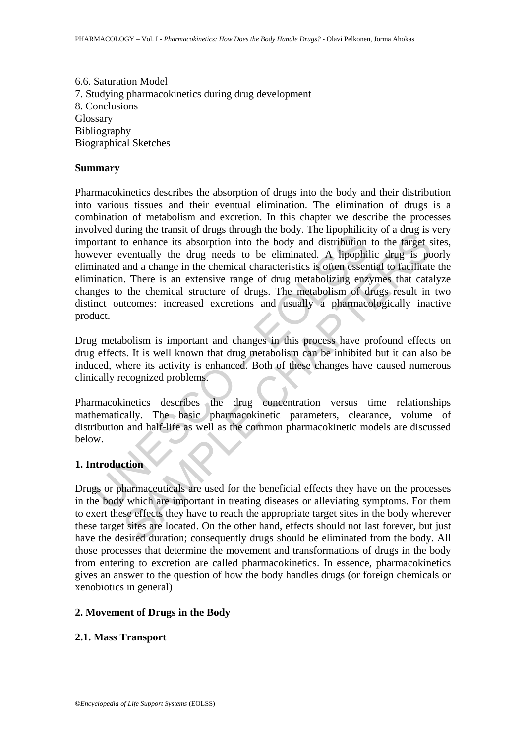6.6. Saturation Model 7. Studying pharmacokinetics during drug development 8. Conclusions Glossary Bibliography Biographical Sketches

#### **Summary**

From a minimal in curation of rangy anology. The inpoperation order to chance its absorption into the body and distribution<br>ever eventually the drug needs to be eliminated. A lipophilinated and a change in the chemical cha The units of using surface that the outget and the body and distribution to the farget s<br>to enhance its absorption into the body and distribution to the farget s<br>ventually the drug needs to be eliminated. A lipophilic drug Pharmacokinetics describes the absorption of drugs into the body and their distribution into various tissues and their eventual elimination. The elimination of drugs is a combination of metabolism and excretion. In this chapter we describe the processes involved during the transit of drugs through the body. The lipophilicity of a drug is very important to enhance its absorption into the body and distribution to the target sites, however eventually the drug needs to be eliminated. A lipophilic drug is poorly eliminated and a change in the chemical characteristics is often essential to facilitate the elimination. There is an extensive range of drug metabolizing enzymes that catalyze changes to the chemical structure of drugs. The metabolism of drugs result in two distinct outcomes: increased excretions and usually a pharmacologically inactive product.

Drug metabolism is important and changes in this process have profound effects on drug effects. It is well known that drug metabolism can be inhibited but it can also be induced, where its activity is enhanced. Both of these changes have caused numerous clinically recognized problems.

Pharmacokinetics describes the drug concentration versus time relationships mathematically. The basic pharmacokinetic parameters, clearance, volume of distribution and half-life as well as the common pharmacokinetic models are discussed below.

## **1. Introduction**

Drugs or pharmaceuticals are used for the beneficial effects they have on the processes in the body which are important in treating diseases or alleviating symptoms. For them to exert these effects they have to reach the appropriate target sites in the body wherever these target sites are located. On the other hand, effects should not last forever, but just have the desired duration; consequently drugs should be eliminated from the body. All those processes that determine the movement and transformations of drugs in the body from entering to excretion are called pharmacokinetics. In essence, pharmacokinetics gives an answer to the question of how the body handles drugs (or foreign chemicals or xenobiotics in general)

## **2. Movement of Drugs in the Body**

## **2.1. Mass Transport**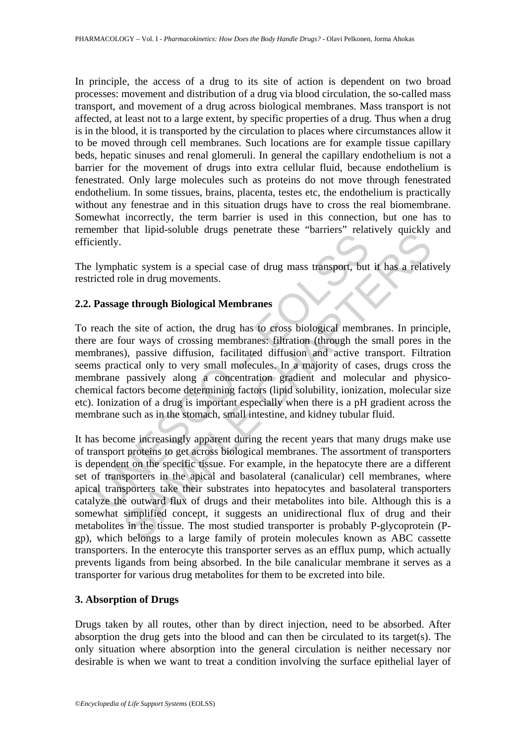In principle, the access of a drug to its site of action is dependent on two broad processes: movement and distribution of a drug via blood circulation, the so-called mass transport, and movement of a drug across biological membranes. Mass transport is not affected, at least not to a large extent, by specific properties of a drug. Thus when a drug is in the blood, it is transported by the circulation to places where circumstances allow it to be moved through cell membranes. Such locations are for example tissue capillary beds, hepatic sinuses and renal glomeruli. In general the capillary endothelium is not a barrier for the movement of drugs into extra cellular fluid, because endothelium is fenestrated. Only large molecules such as proteins do not move through fenestrated endothelium. In some tissues, brains, placenta, testes etc, the endothelium is practically without any fenestrae and in this situation drugs have to cross the real biomembrane. Somewhat incorrectly, the term barrier is used in this connection, but one has to remember that lipid-soluble drugs penetrate these "barriers" relatively quickly and efficiently.

The lymphatic system is a special case of drug mass transport, but it has a relatively restricted role in drug movements.

## **2.2. Passage through Biological Membranes**

The state of the special case of drug mass transport, but<br>the state of the state of the state of the state of the state of the state of rough and the state of action, the drug has to cross biological member<br>are are four wa To reach the site of action, the drug has to cross biological membranes. In principle, there are four ways of crossing membranes: filtration (through the small pores in the membranes), passive diffusion, facilitated diffusion and active transport. Filtration seems practical only to very small molecules. In a majority of cases, drugs cross the membrane passively along a concentration gradient and molecular and physicochemical factors become determining factors (lipid solubility, ionization, molecular size etc). Ionization of a drug is important especially when there is a pH gradient across the membrane such as in the stomach, small intestine, and kidney tubular fluid.

that inpus-solation diags penetrate these bannels' chancely queeny<br>attic system is a special case of drug mass transport, but it has a relation<br>be in drug movements.<br>Le through Biological Membranes<br>the site of action, the It has become increasingly apparent during the recent years that many drugs make use of transport proteins to get across biological membranes. The assortment of transporters is dependent on the specific tissue. For example, in the hepatocyte there are a different set of transporters in the apical and basolateral (canalicular) cell membranes, where apical transporters take their substrates into hepatocytes and basolateral transporters catalyze the outward flux of drugs and their metabolites into bile. Although this is a somewhat simplified concept, it suggests an unidirectional flux of drug and their metabolites in the tissue. The most studied transporter is probably P-glycoprotein (Pgp), which belongs to a large family of protein molecules known as ABC cassette transporters. In the enterocyte this transporter serves as an efflux pump, which actually prevents ligands from being absorbed. In the bile canalicular membrane it serves as a transporter for various drug metabolites for them to be excreted into bile.

## **3. Absorption of Drugs**

Drugs taken by all routes, other than by direct injection, need to be absorbed. After absorption the drug gets into the blood and can then be circulated to its target(s). The only situation where absorption into the general circulation is neither necessary nor desirable is when we want to treat a condition involving the surface epithelial layer of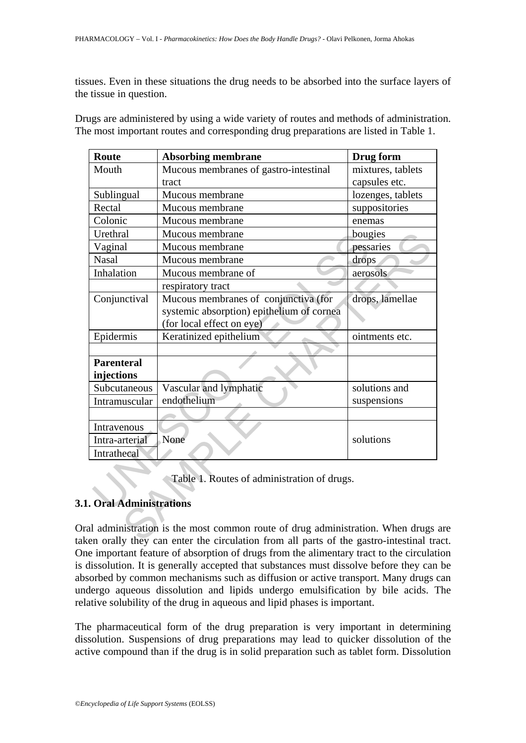tissues. Even in these situations the drug needs to be absorbed into the surface layers of the tissue in question.

| <b>Route</b>                                                                                     | <b>Absorbing membrane</b>                                                     | Drug form         |  |  |
|--------------------------------------------------------------------------------------------------|-------------------------------------------------------------------------------|-------------------|--|--|
| Mouth                                                                                            | Mucous membranes of gastro-intestinal                                         | mixtures, tablets |  |  |
|                                                                                                  | tract                                                                         | capsules etc.     |  |  |
| Sublingual                                                                                       | Mucous membrane                                                               | lozenges, tablets |  |  |
| Rectal                                                                                           | Mucous membrane                                                               | suppositories     |  |  |
| Colonic                                                                                          | Mucous membrane                                                               | enemas            |  |  |
| Urethral                                                                                         | Mucous membrane                                                               | bougies           |  |  |
| Vaginal                                                                                          | Mucous membrane                                                               | pessaries         |  |  |
| <b>Nasal</b>                                                                                     | Mucous membrane                                                               | drops             |  |  |
| Inhalation                                                                                       | Mucous membrane of                                                            | aerosols          |  |  |
|                                                                                                  | respiratory tract                                                             |                   |  |  |
| Conjunctival                                                                                     | Mucous membranes of conjunctiva (for                                          | drops, lamellae   |  |  |
|                                                                                                  | systemic absorption) epithelium of cornea                                     |                   |  |  |
|                                                                                                  | (for local effect on eye)                                                     |                   |  |  |
| Epidermis                                                                                        | Keratinized epithelium                                                        | ointments etc.    |  |  |
|                                                                                                  |                                                                               |                   |  |  |
| <b>Parenteral</b>                                                                                |                                                                               |                   |  |  |
| injections                                                                                       |                                                                               |                   |  |  |
| Subcutaneous                                                                                     | Vascular and lymphatic                                                        | solutions and     |  |  |
| Intramuscular                                                                                    | endothelium                                                                   | suspensions       |  |  |
|                                                                                                  |                                                                               |                   |  |  |
| Intravenous                                                                                      |                                                                               |                   |  |  |
| Intra-arterial                                                                                   | None                                                                          | solutions         |  |  |
| Intrathecal                                                                                      |                                                                               |                   |  |  |
|                                                                                                  |                                                                               |                   |  |  |
| Table 1. Routes of administration of drugs.                                                      |                                                                               |                   |  |  |
|                                                                                                  |                                                                               |                   |  |  |
| <b>1. Oral Administrations</b>                                                                   |                                                                               |                   |  |  |
|                                                                                                  |                                                                               |                   |  |  |
|                                                                                                  | al administration is the most common route of drug administration. When drugs |                   |  |  |
| $\alpha$ can orally they can enter the circulation from all parts of the gastro-intestinal tries |                                                                               |                   |  |  |

Drugs are administered by using a wide variety of routes and methods of administration. The most important routes and corresponding drug preparations are listed in Table 1.

# **3.1. Oral Administrations**

Oral administration is the most common route of drug administration. When drugs are taken orally they can enter the circulation from all parts of the gastro-intestinal tract. One important feature of absorption of drugs from the alimentary tract to the circulation is dissolution. It is generally accepted that substances must dissolve before they can be absorbed by common mechanisms such as diffusion or active transport. Many drugs can undergo aqueous dissolution and lipids undergo emulsification by bile acids. The relative solubility of the drug in aqueous and lipid phases is important.

The pharmaceutical form of the drug preparation is very important in determining dissolution. Suspensions of drug preparations may lead to quicker dissolution of the active compound than if the drug is in solid preparation such as tablet form. Dissolution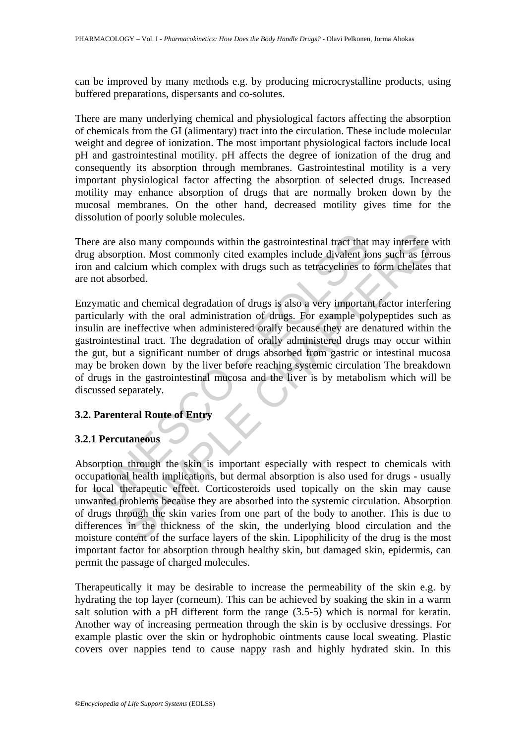can be improved by many methods e.g. by producing microcrystalline products, using buffered preparations, dispersants and co-solutes.

There are many underlying chemical and physiological factors affecting the absorption of chemicals from the GI (alimentary) tract into the circulation. These include molecular weight and degree of ionization. The most important physiological factors include local pH and gastrointestinal motility. pH affects the degree of ionization of the drug and consequently its absorption through membranes. Gastrointestinal motility is a very important physiological factor affecting the absorption of selected drugs. Increased motility may enhance absorption of drugs that are normally broken down by the mucosal membranes. On the other hand, decreased motility gives time for the dissolution of poorly soluble molecules.

There are also many compounds within the gastrointestinal tract that may interfere with drug absorption. Most commonly cited examples include divalent ions such as ferrous iron and calcium which complex with drugs such as tetracyclines to form chelates that are not absorbed.

The are also many compounds within the gastrointestinal tract that<br>
that a shorption. Most commonly cited examples include divalent is<br>
and calcium which complex with drugs such as tetracyclines to<br>
not absorbed.<br>
ymatic a also many compounds within the gastrointestinal tract that may interfere<br>ption. Most commonly cited examples include divalent ions such as fer<br>actium which complex with drugs such as tetracyclines to form chelates<br>orbed.<br>a Enzymatic and chemical degradation of drugs is also a very important factor interfering particularly with the oral administration of drugs. For example polypeptides such as insulin are ineffective when administered orally because they are denatured within the gastrointestinal tract. The degradation of orally administered drugs may occur within the gut, but a significant number of drugs absorbed from gastric or intestinal mucosa may be broken down by the liver before reaching systemic circulation The breakdown of drugs in the gastrointestinal mucosa and the liver is by metabolism which will be discussed separately.

## **3.2. Parenteral Route of Entry**

## **3.2.1 Percutaneous**

Absorption through the skin is important especially with respect to chemicals with occupational health implications, but dermal absorption is also used for drugs - usually for local therapeutic effect. Corticosteroids used topically on the skin may cause unwanted problems because they are absorbed into the systemic circulation. Absorption of drugs through the skin varies from one part of the body to another. This is due to differences in the thickness of the skin, the underlying blood circulation and the moisture content of the surface layers of the skin. Lipophilicity of the drug is the most important factor for absorption through healthy skin, but damaged skin, epidermis, can permit the passage of charged molecules.

Therapeutically it may be desirable to increase the permeability of the skin e.g. by hydrating the top layer (corneum). This can be achieved by soaking the skin in a warm salt solution with a pH different form the range (3.5-5) which is normal for keratin. Another way of increasing permeation through the skin is by occlusive dressings. For example plastic over the skin or hydrophobic ointments cause local sweating. Plastic covers over nappies tend to cause nappy rash and highly hydrated skin. In this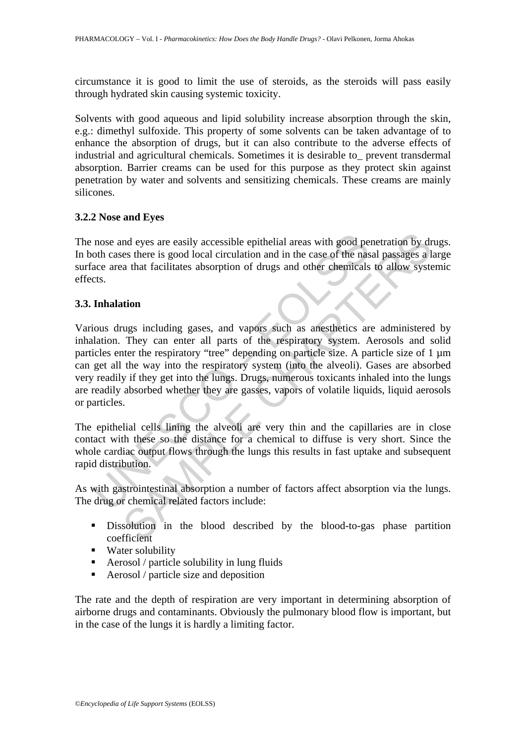circumstance it is good to limit the use of steroids, as the steroids will pass easily through hydrated skin causing systemic toxicity.

Solvents with good aqueous and lipid solubility increase absorption through the skin, e.g.: dimethyl sulfoxide. This property of some solvents can be taken advantage of to enhance the absorption of drugs, but it can also contribute to the adverse effects of industrial and agricultural chemicals. Sometimes it is desirable to\_ prevent transdermal absorption. Barrier creams can be used for this purpose as they protect skin against penetration by water and solvents and sensitizing chemicals. These creams are mainly silicones.

#### **3.2.2 Nose and Eyes**

The nose and eyes are easily accessible epithelial areas with good penetration by drugs. In both cases there is good local circulation and in the case of the nasal passages a large surface area that facilitates absorption of drugs and other chemicals to allow systemic effects.

#### **3.3. Inhalation**

nose and eyes are easily accessible epithelial areas with good pe<br>oth cases there is good local circulation and in the case of the nas<br>ace area that facilitates absorption of drugs and other chemicals<br>cts.<br>Inhalation<br>ious nd eyes are easily accessible epithelial areas with good penetration by dres there is good local circulation and in the case of the nasal passages a la that facilitates absorption of drugs and other chemicals to allow syst Various drugs including gases, and vapors such as anesthetics are administered by inhalation. They can enter all parts of the respiratory system. Aerosols and solid particles enter the respiratory "tree" depending on particle size. A particle size of 1 µm can get all the way into the respiratory system (into the alveoli). Gases are absorbed very readily if they get into the lungs. Drugs, numerous toxicants inhaled into the lungs are readily absorbed whether they are gasses, vapors of volatile liquids, liquid aerosols or particles.

The epithelial cells lining the alveoli are very thin and the capillaries are in close contact with these so the distance for a chemical to diffuse is very short. Since the whole cardiac output flows through the lungs this results in fast uptake and subsequent rapid distribution.

As with gastrointestinal absorption a number of factors affect absorption via the lungs. The drug or chemical related factors include:

- Dissolution in the blood described by the blood-to-gas phase partition coefficient
- **Water solubility**
- Aerosol / particle solubility in lung fluids
- Aerosol / particle size and deposition

The rate and the depth of respiration are very important in determining absorption of airborne drugs and contaminants. Obviously the pulmonary blood flow is important, but in the case of the lungs it is hardly a limiting factor.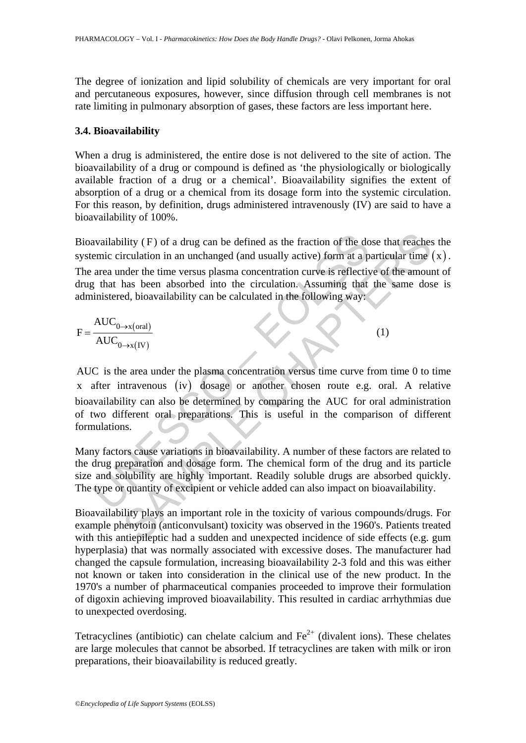The degree of ionization and lipid solubility of chemicals are very important for oral and percutaneous exposures, however, since diffusion through cell membranes is not rate limiting in pulmonary absorption of gases, these factors are less important here.

## **3.4. Bioavailability**

When a drug is administered, the entire dose is not delivered to the site of action. The bioavailability of a drug or compound is defined as 'the physiologically or biologically available fraction of a drug or a chemical'. Bioavailability signifies the extent of absorption of a drug or a chemical from its dosage form into the systemic circulation. For this reason, by definition, drugs administered intravenously (IV) are said to have a bioavailability of 100%.

Bioavailability ( F) of a drug can be defined as the fraction of the dose that reaches the systemic circulation in an unchanged (and usually active) form at a particular time  $(x)$ .

The area under the time versus plasma concentration curve is reflective of the amount of drug that has been absorbed into the circulation. Assuming that the same dose is administered, bioavailability can be calculated in the following way:

$$
F = \frac{\text{AUC}_{0 \to x \text{(oral)}}}{\text{AUC}_{0 \to x \text{(IV)}}}
$$
(1)

availability (F) of a drug can be defined as the fraction of the do<br>emic circulation in an unchanged (and usually active) form at a p<br>area under the time versus plasma concentration curve is reflectively<br>that has been abs (Fe) of a drug can be defined as the fraction of the dose that reaches<br>
irculation in an unchanged (and usually active) form at a particular time<br>
the time versus plasma concentration curve is reflective of the amou<br>
that AUC is the area under the plasma concentration versus time curve from time 0 to time x after intravenous (iv) dosage or another chosen route e.g. oral. A relative bioavailability can also be determined by comparing the AUC for oral administration of two different oral preparations. This is useful in the comparison of different formulations.

Many factors cause variations in bioavailability. A number of these factors are related to the drug preparation and dosage form. The chemical form of the drug and its particle size and solubility are highly important. Readily soluble drugs are absorbed quickly. The type or quantity of excipient or vehicle added can also impact on bioavailability.

Bioavailability plays an important role in the toxicity of various compounds/drugs. For example phenytoin (anticonvulsant) toxicity was observed in the 1960's. Patients treated with this antiepileptic had a sudden and unexpected incidence of side effects (e.g. gum hyperplasia) that was normally associated with excessive doses. The manufacturer had changed the capsule formulation, increasing bioavailability 2-3 fold and this was either not known or taken into consideration in the clinical use of the new product. In the 1970's a number of pharmaceutical companies proceeded to improve their formulation of digoxin achieving improved bioavailability. This resulted in cardiac arrhythmias due to unexpected overdosing.

Tetracyclines (antibiotic) can chelate calcium and  $Fe<sup>2+</sup>$  (divalent ions). These chelates are large molecules that cannot be absorbed. If tetracyclines are taken with milk or iron preparations, their bioavailability is reduced greatly.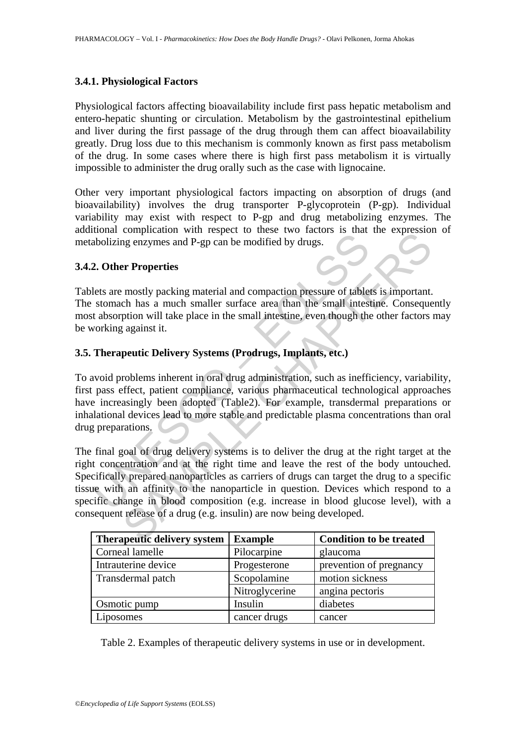## **3.4.1. Physiological Factors**

Physiological factors affecting bioavailability include first pass hepatic metabolism and entero-hepatic shunting or circulation. Metabolism by the gastrointestinal epithelium and liver during the first passage of the drug through them can affect bioavailability greatly. Drug loss due to this mechanism is commonly known as first pass metabolism of the drug. In some cases where there is high first pass metabolism it is virtually impossible to administer the drug orally such as the case with lignocaine.

Other very important physiological factors impacting on absorption of drugs (and bioavailability) involves the drug transporter P-glycoprotein (P-gp). Individual variability may exist with respect to P-gp and drug metabolizing enzymes. The additional complication with respect to these two factors is that the expression of metabolizing enzymes and P-gp can be modified by drugs.

## **3.4.2. Other Properties**

Tablets are mostly packing material and compaction pressure of tablets is important. The stomach has a much smaller surface area than the small intestine. Consequently most absorption will take place in the small intestine, even though the other factors may be working against it.

## **3.5. Therapeutic Delivery Systems (Prodrugs, Implants, etc.)**

To avoid problems inherent in oral drug administration, such as inefficiency, variability, first pass effect, patient compliance, various pharmaceutical technological approaches have increasingly been adopted (Table2). For example, transdermal preparations or inhalational devices lead to more stable and predictable plasma concentrations than oral drug preparations.

The method of a method of any states are the states of the states of the sholizing enzymes and P-gp can be modified by drugs.<br>
2. Other Properties<br>
states are mostly packing material and compaction pressure of table<br>
state computation will respect to diese two factors is that the expression<br>of energy energy and P-gp can be modified by drugs.<br> **Example Conserved SET and Comparison** and compaction pressure of tables is important.<br>
the has a mu The final goal of drug delivery systems is to deliver the drug at the right target at the right concentration and at the right time and leave the rest of the body untouched. Specifically prepared nanoparticles as carriers of drugs can target the drug to a specific tissue with an affinity to the nanoparticle in question. Devices which respond to a specific change in blood composition (e.g. increase in blood glucose level), with a consequent release of a drug (e.g. insulin) are now being developed.

| <b>Therapeutic delivery system</b> | <b>Example</b> | <b>Condition to be treated</b> |
|------------------------------------|----------------|--------------------------------|
| Corneal lamelle                    | Pilocarpine    | glaucoma                       |
| Intrauterine device                | Progesterone   | prevention of pregnancy        |
| Transdermal patch                  | Scopolamine    | motion sickness                |
|                                    | Nitroglycerine | angina pectoris                |
| Osmotic pump                       | Insulin        | diabetes                       |
| Liposomes                          | cancer drugs   | cancer                         |

Table 2. Examples of therapeutic delivery systems in use or in development.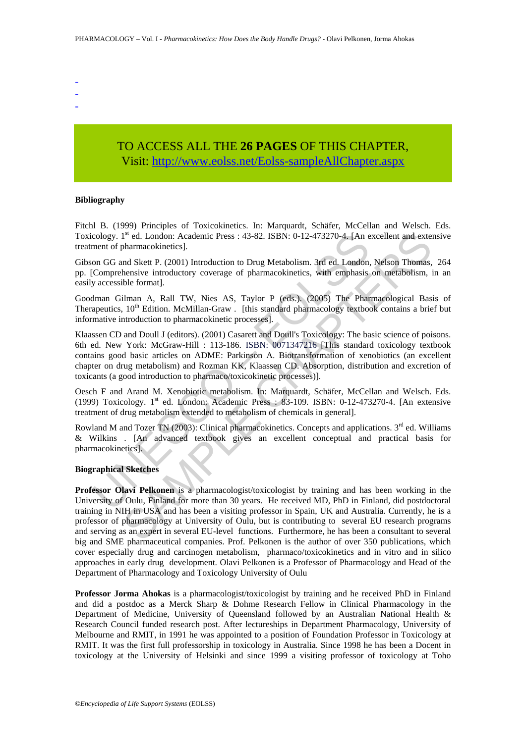- -
- -

# TO ACCESS ALL THE **26 PAGES** OF THIS CHAPTER, Visit[: http://www.eolss.net/Eolss-sampleAllChapter.aspx](https://www.eolss.net/ebooklib/sc_cart.aspx?File=E6-81-06)

#### **Bibliography**

Fitchl B. (1999) Principles of Toxicokinetics. In: Marquardt, Schäfer, McCellan and Welsch. Eds. Toxicology. 1<sup>st</sup> ed. London: Academic Press : 43-82. ISBN: 0-12-473270-4. [An excellent and extensive treatment of pharmacokinetics].

Gibson GG and Skett P. (2001) Introduction to Drug Metabolism. 3rd ed. London, Nelson Thomas, 264 pp. [Comprehensive introductory coverage of pharmacokinetics, with emphasis on metabolism, in an easily accessible format].

Goodman Gilman A, Rall TW, Nies AS, Taylor P (eds.). (2005) The Pharmacological Basis of Therapeutics,  $10^{th}$  Edition. McMillan-Graw . [this standard pharmacology textbook contains a brief but informative introduction to pharmacokinetic processes].

cology. 1<sup>st</sup> ed. London: Academic Press : 43-82. ISBN: 0-12-473270-4. [An enent of pharmacokinetics].<br>
Coment of pharmacokinetics].<br>
Coment of pharmacokinetics].<br>
Coment Stett P. (2001) Introduction to Drug Metabolism. 3r Klaassen CD and Doull J (editors). (2001) Casarett and Doull's Toxicology: The basic science of poisons. 6th ed. New York: McGraw-Hill : 113-186. ISBN: 0071347216 [This standard toxicology textbook contains good basic articles on ADME: Parkinson A. Biotransformation of xenobiotics (an excellent chapter on drug metabolism) and Rozman KK, Klaassen CD. Absorption, distribution and excretion of toxicants (a good introduction to pharmaco/toxicokinetic processes)].

Oesch F and Arand M. Xenobiotic metabolism. In: Marquardt, Schäfer, McCellan and Welsch. Eds. (1999) Toxicology. 1st ed. London: Academic Press : 83-109. ISBN: 0-12-473270-4. [An extensive treatment of drug metabolism extended to metabolism of chemicals in general].

Rowland M and Tozer TN (2003): Clinical pharmacokinetics. Concepts and applications. 3<sup>rd</sup> ed. Williams & Wilkins . [An advanced textbook gives an excellent conceptual and practical basis for pharmacokinetics].

#### **Biographical Sketches**

1<sup>a</sup> ed. London: Academic Press : 43-82. ISBN: 0-12-473270-4. [An excellent and externation colonis (Sct P. (2001) Introduction to Drug Metabolism. 3rd ed. London, Nelson Thomas, hensive introductory coverage of pharmacoki **Professor Olavi Pelkonen** is a pharmacologist/toxicologist by training and has been working in the University of Oulu, Finland for more than 30 years. He received MD, PhD in Finland, did postdoctoral training in NIH in USA and has been a visiting professor in Spain, UK and Australia. Currently, he is a professor of pharmacology at University of Oulu, but is contributing to several EU research programs and serving as an expert in several EU-level functions. Furthermore, he has been a consultant to several big and SME pharmaceutical companies. Prof. Pelkonen is the author of over 350 publications, which cover especially drug and carcinogen metabolism, pharmaco/toxicokinetics and in vitro and in silico approaches in early drug development. Olavi Pelkonen is a Professor of Pharmacology and Head of the Department of Pharmacology and Toxicology University of Oulu

**Professor Jorma Ahokas** is a pharmacologist/toxicologist by training and he received PhD in Finland and did a postdoc as a Merck Sharp & Dohme Research Fellow in Clinical Pharmacology in the Department of Medicine, University of Queensland followed by an Australian National Health & Research Council funded research post. After lectureships in Department Pharmacology, University of Melbourne and RMIT, in 1991 he was appointed to a position of Foundation Professor in Toxicology at RMIT. It was the first full professorship in toxicology in Australia. Since 1998 he has been a Docent in toxicology at the University of Helsinki and since 1999 a visiting professor of toxicology at Toho